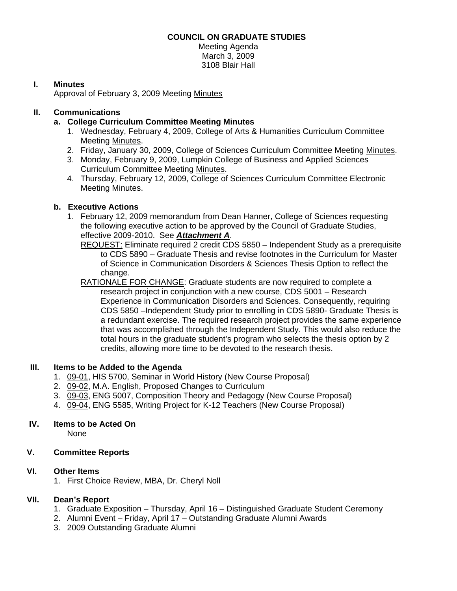# **COUNCIL ON GRADUATE STUDIES**

Meeting Agenda March 3, 2009 3108 Blair Hall

# **I. Minutes**

Approval of February 3, 2009 Meetin[g Minutes](http://www.eiu.edu/~eiucgs/currentminutes/Minutes2-03-09.pdf)

# **II. Communications**

### **a. College Curriculum Committee Meeting Minutes**

- 1. Wednesday, February 4, 2009, College of Arts & Humanities Curriculum Committee Meeti[ng Minutes.](http://www.eiu.edu/~eiucgs/currentagendaitems/CAHMin2-04-09.pdf)
- 2. Friday, January 30, 2009, College of Sciences Curriculum Committee Meetin[g Minutes.](http://www.eiu.edu/~eiucgs/currentagendaitems/COSMin1-30-09.pdf)
- 3. Monday, February 9, 2009, Lumpkin College of Business and Applied Sciences Curriculum Committee Meeti[ng Minutes.](http://www.eiu.edu/~eiucgs/currentagendaitems/LCBASMin2-9-09.pdf)
- 4. Thursday, February 12, 2009, College of Sciences Curriculum Committee Electronic Meetin[g Minutes.](http://www.eiu.edu/~eiucgs/currentagendaitems/COSMin2-12-09.pdf)

# **b. Executive Actions**

- 1. February 12, 2009 memorandum from Dean Hanner, College of Sciences requesting the following executive action to be approved by the Council of Graduate Studies, effective 2009-2010. See *A[ttachment A](http://www.eiu.edu/~eiucgs/currentagendaitems/Att_A_3-03-09COS.pdf)*.
	- REQUEST: Eliminate required 2 credit CDS 5850 Independent Study as a prerequisite to CDS 5890 – Graduate Thesis and revise footnotes in the Curriculum for Master of Science in Communication Disorders & Sciences Thesis Option to reflect the change.
	- RATIONALE FOR CHANGE: Graduate students are now required to complete a research project in conjunction with a new course, CDS 5001 – Research Experience in Communication Disorders and Sciences. Consequently, requiring CDS 5850 –Independent Study prior to enrolling in CDS 5890- Graduate Thesis is a redundant exercise. The required research project provides the same experience that was accomplished through the Independent Study. This would also reduce the total hours in the graduate student's program who selects the thesis option by 2 credits, allowing more time to be devoted to the research thesis.

#### **III. Items to be Added to the Agenda**

- 1. [09-01, H](http://www.eiu.edu/~eiucgs/currentagendaitems/agenda09-01.pdf)IS 5700, Seminar in World History (New Course Proposal)
- [2. 09-02, M](http://www.eiu.edu/~eiucgs/currentagendaitems/agenda09-02.pdf).A. English, Proposed Changes to Curriculum
- 3. [09-03,](http://www.eiu.edu/~eiucgs/currentagendaitems/agenda09-03.pdf) ENG 5007, Composition Theory and Pedagogy (New Course Proposal)
- 4. [09-04, E](http://www.eiu.edu/~eiucgs/currentagendaitems/agenda09-04.pdf)NG 5585, Writing Project for K-12 Teachers (New Course Proposal)

#### **IV. Items to be Acted On**

None

#### **V. Committee Reports**

#### **VI. Other Items**

1. First Choice Review, MBA, Dr. Cheryl Noll

#### **VII. Dean's Report**

- 1. Graduate Exposition Thursday, April 16 Distinguished Graduate Student Ceremony
- 2. Alumni Event Friday, April 17 Outstanding Graduate Alumni Awards
- 3. 2009 Outstanding Graduate Alumni